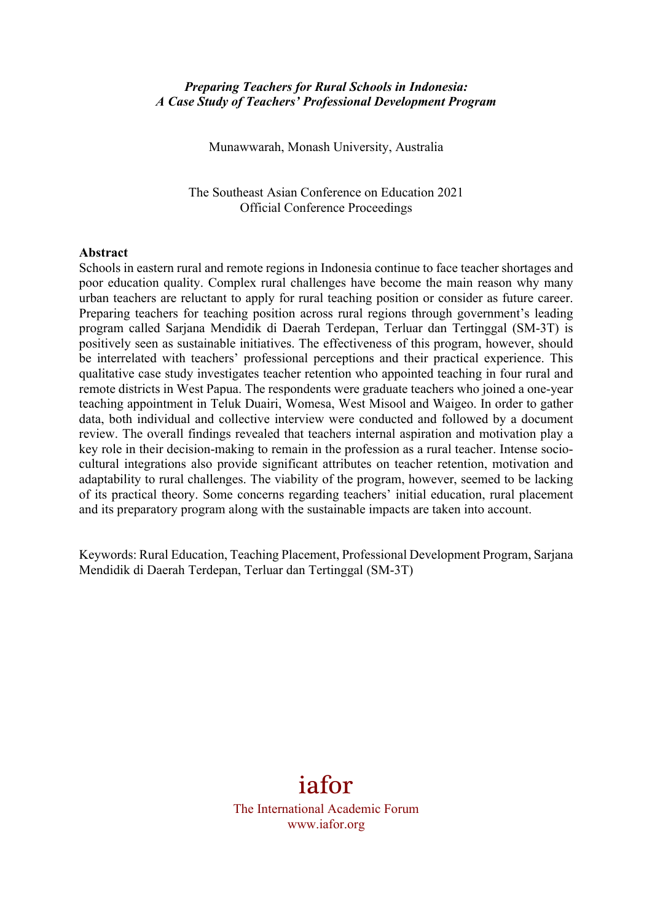#### *Preparing Teachers for Rural Schools in Indonesia: A Case Study of Teachers' Professional Development Program*

Munawwarah, Monash University, Australia

The Southeast Asian Conference on Education 2021 Official Conference Proceedings

#### **Abstract**

Schools in eastern rural and remote regions in Indonesia continue to face teacher shortages and poor education quality. Complex rural challenges have become the main reason why many urban teachers are reluctant to apply for rural teaching position or consider as future career. Preparing teachers for teaching position across rural regions through government's leading program called Sarjana Mendidik di Daerah Terdepan, Terluar dan Tertinggal (SM-3T) is positively seen as sustainable initiatives. The effectiveness of this program, however, should be interrelated with teachers' professional perceptions and their practical experience. This qualitative case study investigates teacher retention who appointed teaching in four rural and remote districts in West Papua. The respondents were graduate teachers who joined a one-year teaching appointment in Teluk Duairi, Womesa, West Misool and Waigeo. In order to gather data, both individual and collective interview were conducted and followed by a document review. The overall findings revealed that teachers internal aspiration and motivation play a key role in their decision-making to remain in the profession as a rural teacher. Intense sociocultural integrations also provide significant attributes on teacher retention, motivation and adaptability to rural challenges. The viability of the program, however, seemed to be lacking of its practical theory. Some concerns regarding teachers' initial education, rural placement and its preparatory program along with the sustainable impacts are taken into account.

Keywords: Rural Education, Teaching Placement, Professional Development Program, Sarjana Mendidik di Daerah Terdepan, Terluar dan Tertinggal (SM-3T)

# iafor

The International Academic Forum www.iafor.org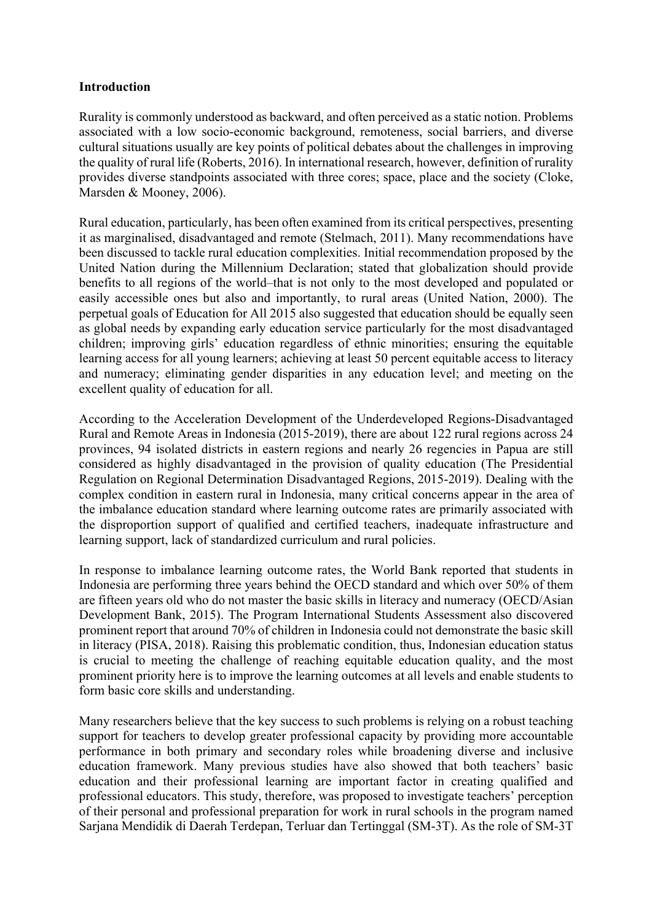## **Introduction**

Rurality is commonly understood as backward, and often perceived as a static notion. Problems associated with a low socio-economic background, remoteness, social barriers, and diverse cultural situations usually are key points of political debates about the challenges in improving the quality of rural life (Roberts, 2016). In international research, however, definition of rurality provides diverse standpoints associated with three cores; space, place and the society (Cloke, Marsden & Mooney, 2006).

Rural education, particularly, has been often examined from its critical perspectives, presenting it as marginalised, disadvantaged and remote (Stelmach, 2011). Many recommendations have been discussed to tackle rural education complexities. Initial recommendation proposed by the United Nation during the Millennium Declaration; stated that globalization should provide benefits to all regions of the world–that is not only to the most developed and populated or easily accessible ones but also and importantly, to rural areas (United Nation, 2000). The perpetual goals of Education for All 2015 also suggested that education should be equally seen as global needs by expanding early education service particularly for the most disadvantaged children; improving girls' education regardless of ethnic minorities; ensuring the equitable learning access for all young learners; achieving at least 50 percent equitable access to literacy and numeracy; eliminating gender disparities in any education level; and meeting on the excellent quality of education for all.

According to the Acceleration Development of the Underdeveloped Regions-Disadvantaged Rural and Remote Areas in Indonesia (2015-2019), there are about 122 rural regions across 24 provinces, 94 isolated districts in eastern regions and nearly 26 regencies in Papua are still considered as highly disadvantaged in the provision of quality education (The Presidential Regulation on Regional Determination Disadvantaged Regions, 2015-2019). Dealing with the complex condition in eastern rural in Indonesia, many critical concerns appear in the area of the imbalance education standard where learning outcome rates are primarily associated with the disproportion support of qualified and certified teachers, inadequate infrastructure and learning support, lack of standardized curriculum and rural policies.

In response to imbalance learning outcome rates, the World Bank reported that students in Indonesia are performing three years behind the OECD standard and which over 50% of them are fifteen years old who do not master the basic skills in literacy and numeracy (OECD/Asian Development Bank, 2015). The Program International Students Assessment also discovered prominent report that around 70% of children in Indonesia could not demonstrate the basic skill in literacy (PISA, 2018). Raising this problematic condition, thus, Indonesian education status is crucial to meeting the challenge of reaching equitable education quality, and the most prominent priority here is to improve the learning outcomes at all levels and enable students to form basic core skills and understanding.

Many researchers believe that the key success to such problems is relying on a robust teaching support for teachers to develop greater professional capacity by providing more accountable performance in both primary and secondary roles while broadening diverse and inclusive education framework. Many previous studies have also showed that both teachers' basic education and their professional learning are important factor in creating qualified and professional educators. This study, therefore, was proposed to investigate teachers' perception of their personal and professional preparation for work in rural schools in the program named Sarjana Mendidik di Daerah Terdepan, Terluar dan Tertinggal (SM-3T). As the role of SM-3T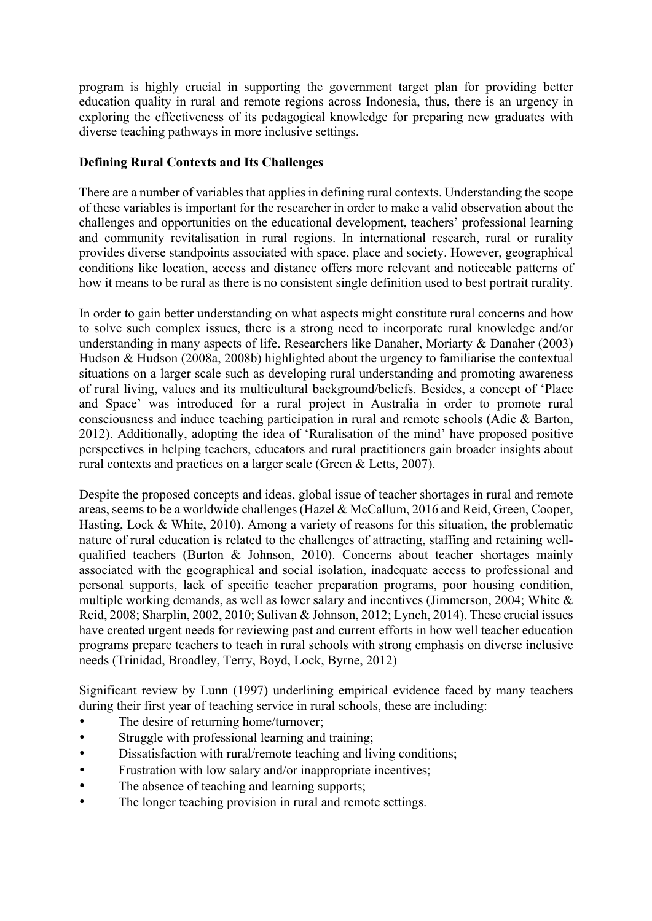program is highly crucial in supporting the government target plan for providing better education quality in rural and remote regions across Indonesia, thus, there is an urgency in exploring the effectiveness of its pedagogical knowledge for preparing new graduates with diverse teaching pathways in more inclusive settings.

# **Defining Rural Contexts and Its Challenges**

There are a number of variables that applies in defining rural contexts. Understanding the scope of these variables is important for the researcher in order to make a valid observation about the challenges and opportunities on the educational development, teachers' professional learning and community revitalisation in rural regions. In international research, rural or rurality provides diverse standpoints associated with space, place and society. However, geographical conditions like location, access and distance offers more relevant and noticeable patterns of how it means to be rural as there is no consistent single definition used to best portrait rurality.

In order to gain better understanding on what aspects might constitute rural concerns and how to solve such complex issues, there is a strong need to incorporate rural knowledge and/or understanding in many aspects of life. Researchers like Danaher, Moriarty & Danaher (2003) Hudson & Hudson (2008a, 2008b) highlighted about the urgency to familiarise the contextual situations on a larger scale such as developing rural understanding and promoting awareness of rural living, values and its multicultural background/beliefs. Besides, a concept of 'Place and Space' was introduced for a rural project in Australia in order to promote rural consciousness and induce teaching participation in rural and remote schools (Adie & Barton, 2012). Additionally, adopting the idea of 'Ruralisation of the mind' have proposed positive perspectives in helping teachers, educators and rural practitioners gain broader insights about rural contexts and practices on a larger scale (Green & Letts, 2007).

Despite the proposed concepts and ideas, global issue of teacher shortages in rural and remote areas, seems to be a worldwide challenges (Hazel & McCallum, 2016 and Reid, Green, Cooper, Hasting, Lock & White, 2010). Among a variety of reasons for this situation, the problematic nature of rural education is related to the challenges of attracting, staffing and retaining wellqualified teachers (Burton & Johnson, 2010). Concerns about teacher shortages mainly associated with the geographical and social isolation, inadequate access to professional and personal supports, lack of specific teacher preparation programs, poor housing condition, multiple working demands, as well as lower salary and incentives (Jimmerson, 2004; White & Reid, 2008; Sharplin, 2002, 2010; Sulivan & Johnson, 2012; Lynch, 2014). These crucial issues have created urgent needs for reviewing past and current efforts in how well teacher education programs prepare teachers to teach in rural schools with strong emphasis on diverse inclusive needs (Trinidad, Broadley, Terry, Boyd, Lock, Byrne, 2012)

Significant review by Lunn (1997) underlining empirical evidence faced by many teachers during their first year of teaching service in rural schools, these are including:

- The desire of returning home/turnover;
- Struggle with professional learning and training;
- Dissatisfaction with rural/remote teaching and living conditions;
- Frustration with low salary and/or inappropriate incentives;
- The absence of teaching and learning supports;
- The longer teaching provision in rural and remote settings.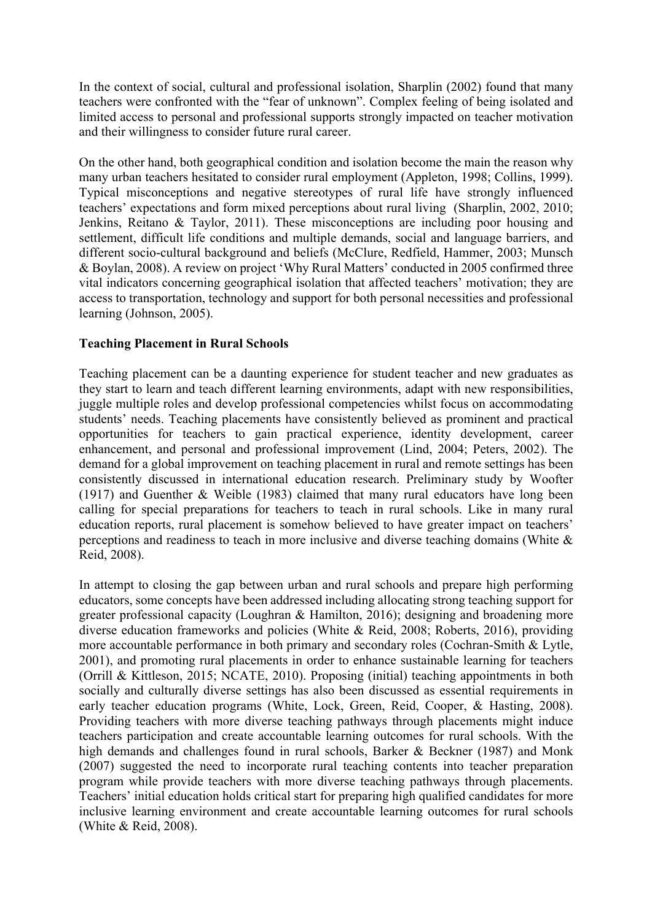In the context of social, cultural and professional isolation, Sharplin (2002) found that many teachers were confronted with the "fear of unknown". Complex feeling of being isolated and limited access to personal and professional supports strongly impacted on teacher motivation and their willingness to consider future rural career.

On the other hand, both geographical condition and isolation become the main the reason why many urban teachers hesitated to consider rural employment (Appleton, 1998; Collins, 1999). Typical misconceptions and negative stereotypes of rural life have strongly influenced teachers' expectations and form mixed perceptions about rural living (Sharplin, 2002, 2010; Jenkins, Reitano & Taylor, 2011). These misconceptions are including poor housing and settlement, difficult life conditions and multiple demands, social and language barriers, and different socio-cultural background and beliefs (McClure, Redfield, Hammer, 2003; Munsch & Boylan, 2008). A review on project 'Why Rural Matters' conducted in 2005 confirmed three vital indicators concerning geographical isolation that affected teachers' motivation; they are access to transportation, technology and support for both personal necessities and professional learning (Johnson, 2005).

## **Teaching Placement in Rural Schools**

Teaching placement can be a daunting experience for student teacher and new graduates as they start to learn and teach different learning environments, adapt with new responsibilities, juggle multiple roles and develop professional competencies whilst focus on accommodating students' needs. Teaching placements have consistently believed as prominent and practical opportunities for teachers to gain practical experience, identity development, career enhancement, and personal and professional improvement (Lind, 2004; Peters, 2002). The demand for a global improvement on teaching placement in rural and remote settings has been consistently discussed in international education research. Preliminary study by Woofter (1917) and Guenther & Weible (1983) claimed that many rural educators have long been calling for special preparations for teachers to teach in rural schools. Like in many rural education reports, rural placement is somehow believed to have greater impact on teachers' perceptions and readiness to teach in more inclusive and diverse teaching domains (White & Reid, 2008).

In attempt to closing the gap between urban and rural schools and prepare high performing educators, some concepts have been addressed including allocating strong teaching support for greater professional capacity (Loughran & Hamilton, 2016); designing and broadening more diverse education frameworks and policies (White & Reid, 2008; Roberts, 2016), providing more accountable performance in both primary and secondary roles (Cochran-Smith & Lytle, 2001), and promoting rural placements in order to enhance sustainable learning for teachers (Orrill & Kittleson, 2015; NCATE, 2010). Proposing (initial) teaching appointments in both socially and culturally diverse settings has also been discussed as essential requirements in early teacher education programs (White, Lock, Green, Reid, Cooper, & Hasting, 2008). Providing teachers with more diverse teaching pathways through placements might induce teachers participation and create accountable learning outcomes for rural schools. With the high demands and challenges found in rural schools, Barker & Beckner (1987) and Monk (2007) suggested the need to incorporate rural teaching contents into teacher preparation program while provide teachers with more diverse teaching pathways through placements. Teachers' initial education holds critical start for preparing high qualified candidates for more inclusive learning environment and create accountable learning outcomes for rural schools (White & Reid, 2008).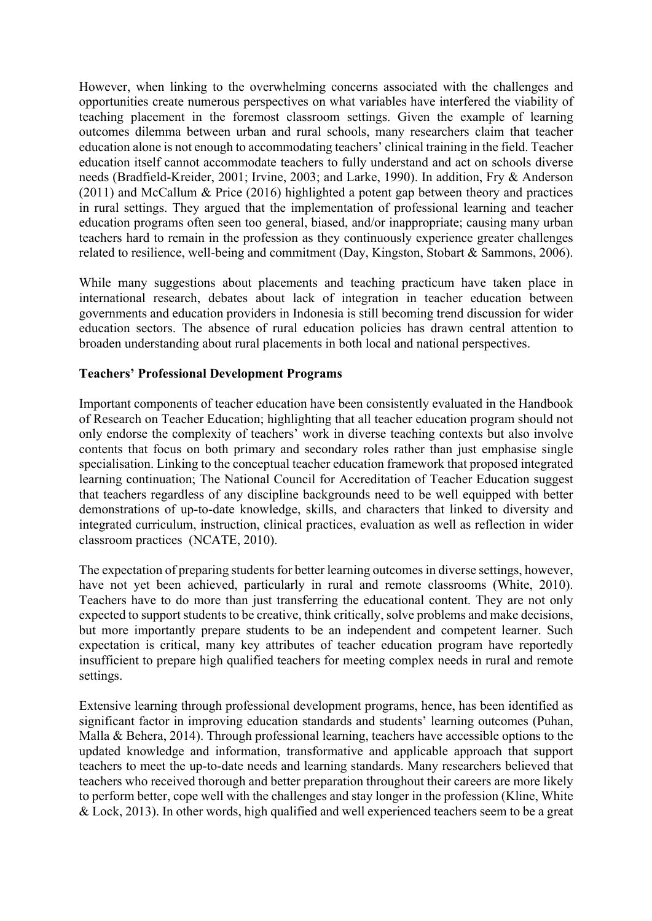However, when linking to the overwhelming concerns associated with the challenges and opportunities create numerous perspectives on what variables have interfered the viability of teaching placement in the foremost classroom settings. Given the example of learning outcomes dilemma between urban and rural schools, many researchers claim that teacher education alone is not enough to accommodating teachers' clinical training in the field. Teacher education itself cannot accommodate teachers to fully understand and act on schools diverse needs (Bradfield-Kreider, 2001; Irvine, 2003; and Larke, 1990). In addition, Fry & Anderson (2011) and McCallum & Price (2016) highlighted a potent gap between theory and practices in rural settings. They argued that the implementation of professional learning and teacher education programs often seen too general, biased, and/or inappropriate; causing many urban teachers hard to remain in the profession as they continuously experience greater challenges related to resilience, well-being and commitment (Day, Kingston, Stobart & Sammons, 2006).

While many suggestions about placements and teaching practicum have taken place in international research, debates about lack of integration in teacher education between governments and education providers in Indonesia is still becoming trend discussion for wider education sectors. The absence of rural education policies has drawn central attention to broaden understanding about rural placements in both local and national perspectives.

#### **Teachers' Professional Development Programs**

Important components of teacher education have been consistently evaluated in the Handbook of Research on Teacher Education; highlighting that all teacher education program should not only endorse the complexity of teachers' work in diverse teaching contexts but also involve contents that focus on both primary and secondary roles rather than just emphasise single specialisation. Linking to the conceptual teacher education framework that proposed integrated learning continuation; The National Council for Accreditation of Teacher Education suggest that teachers regardless of any discipline backgrounds need to be well equipped with better demonstrations of up-to-date knowledge, skills, and characters that linked to diversity and integrated curriculum, instruction, clinical practices, evaluation as well as reflection in wider classroom practices (NCATE, 2010).

The expectation of preparing students for better learning outcomes in diverse settings, however, have not yet been achieved, particularly in rural and remote classrooms (White, 2010). Teachers have to do more than just transferring the educational content. They are not only expected to support students to be creative, think critically, solve problems and make decisions, but more importantly prepare students to be an independent and competent learner. Such expectation is critical, many key attributes of teacher education program have reportedly insufficient to prepare high qualified teachers for meeting complex needs in rural and remote settings.

Extensive learning through professional development programs, hence, has been identified as significant factor in improving education standards and students' learning outcomes (Puhan, Malla & Behera, 2014). Through professional learning, teachers have accessible options to the updated knowledge and information, transformative and applicable approach that support teachers to meet the up-to-date needs and learning standards. Many researchers believed that teachers who received thorough and better preparation throughout their careers are more likely to perform better, cope well with the challenges and stay longer in the profession (Kline, White & Lock, 2013). In other words, high qualified and well experienced teachers seem to be a great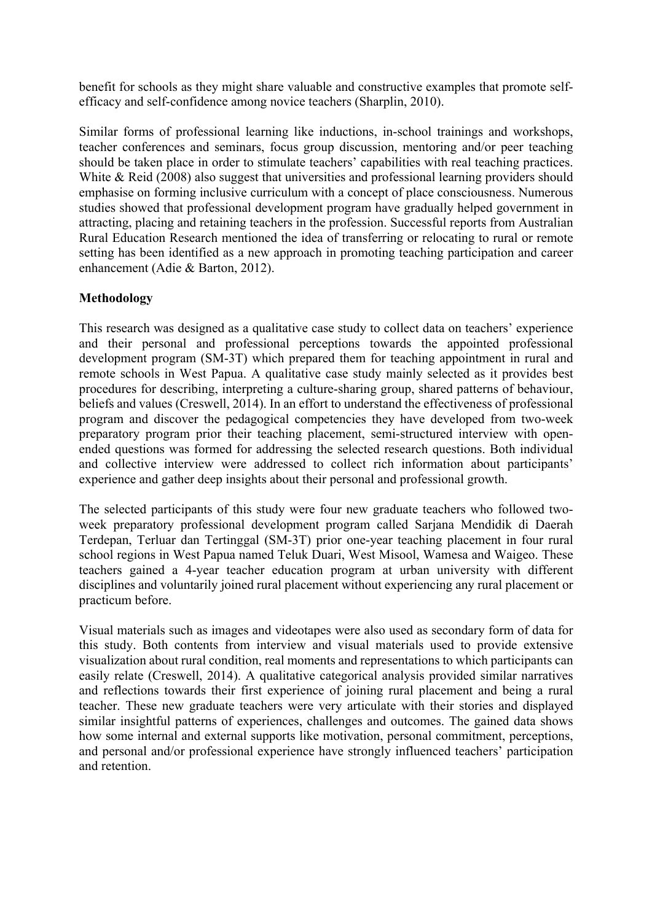benefit for schools as they might share valuable and constructive examples that promote selfefficacy and self-confidence among novice teachers (Sharplin, 2010).

Similar forms of professional learning like inductions, in-school trainings and workshops, teacher conferences and seminars, focus group discussion, mentoring and/or peer teaching should be taken place in order to stimulate teachers' capabilities with real teaching practices. White  $\&$  Reid (2008) also suggest that universities and professional learning providers should emphasise on forming inclusive curriculum with a concept of place consciousness. Numerous studies showed that professional development program have gradually helped government in attracting, placing and retaining teachers in the profession. Successful reports from Australian Rural Education Research mentioned the idea of transferring or relocating to rural or remote setting has been identified as a new approach in promoting teaching participation and career enhancement (Adie & Barton, 2012).

## **Methodology**

This research was designed as a qualitative case study to collect data on teachers' experience and their personal and professional perceptions towards the appointed professional development program (SM-3T) which prepared them for teaching appointment in rural and remote schools in West Papua. A qualitative case study mainly selected as it provides best procedures for describing, interpreting a culture-sharing group, shared patterns of behaviour, beliefs and values (Creswell, 2014). In an effort to understand the effectiveness of professional program and discover the pedagogical competencies they have developed from two-week preparatory program prior their teaching placement, semi-structured interview with openended questions was formed for addressing the selected research questions. Both individual and collective interview were addressed to collect rich information about participants' experience and gather deep insights about their personal and professional growth.

The selected participants of this study were four new graduate teachers who followed twoweek preparatory professional development program called Sarjana Mendidik di Daerah Terdepan, Terluar dan Tertinggal (SM-3T) prior one-year teaching placement in four rural school regions in West Papua named Teluk Duari, West Misool, Wamesa and Waigeo. These teachers gained a 4-year teacher education program at urban university with different disciplines and voluntarily joined rural placement without experiencing any rural placement or practicum before.

Visual materials such as images and videotapes were also used as secondary form of data for this study. Both contents from interview and visual materials used to provide extensive visualization about rural condition, real moments and representations to which participants can easily relate (Creswell, 2014). A qualitative categorical analysis provided similar narratives and reflections towards their first experience of joining rural placement and being a rural teacher. These new graduate teachers were very articulate with their stories and displayed similar insightful patterns of experiences, challenges and outcomes. The gained data shows how some internal and external supports like motivation, personal commitment, perceptions, and personal and/or professional experience have strongly influenced teachers' participation and retention.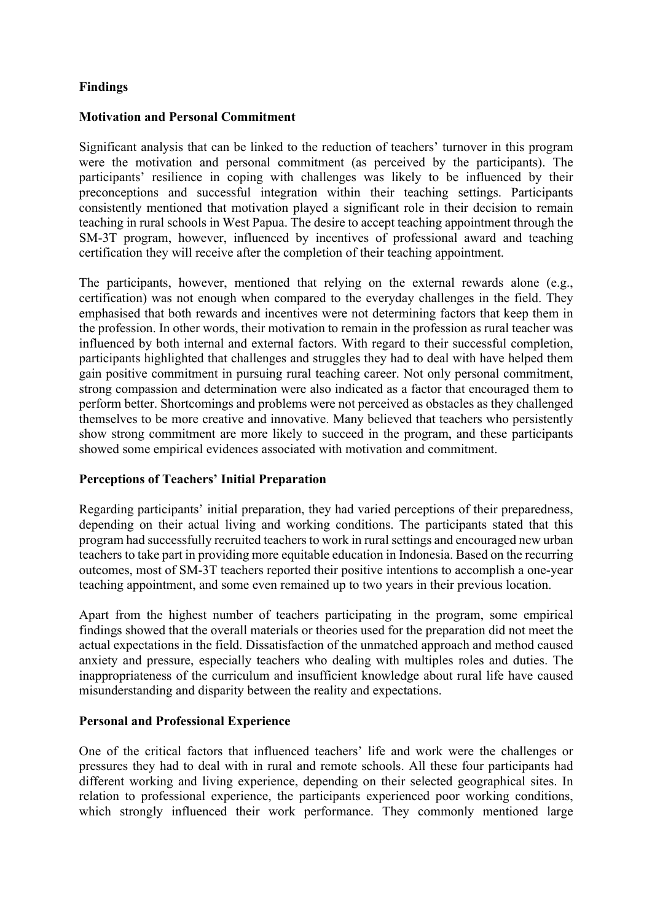## **Findings**

#### **Motivation and Personal Commitment**

Significant analysis that can be linked to the reduction of teachers' turnover in this program were the motivation and personal commitment (as perceived by the participants). The participants' resilience in coping with challenges was likely to be influenced by their preconceptions and successful integration within their teaching settings. Participants consistently mentioned that motivation played a significant role in their decision to remain teaching in rural schools in West Papua. The desire to accept teaching appointment through the SM-3T program, however, influenced by incentives of professional award and teaching certification they will receive after the completion of their teaching appointment.

The participants, however, mentioned that relying on the external rewards alone (e.g., certification) was not enough when compared to the everyday challenges in the field. They emphasised that both rewards and incentives were not determining factors that keep them in the profession. In other words, their motivation to remain in the profession as rural teacher was influenced by both internal and external factors. With regard to their successful completion, participants highlighted that challenges and struggles they had to deal with have helped them gain positive commitment in pursuing rural teaching career. Not only personal commitment, strong compassion and determination were also indicated as a factor that encouraged them to perform better. Shortcomings and problems were not perceived as obstacles as they challenged themselves to be more creative and innovative. Many believed that teachers who persistently show strong commitment are more likely to succeed in the program, and these participants showed some empirical evidences associated with motivation and commitment.

## **Perceptions of Teachers' Initial Preparation**

Regarding participants' initial preparation, they had varied perceptions of their preparedness, depending on their actual living and working conditions. The participants stated that this program had successfully recruited teachers to work in rural settings and encouraged new urban teachers to take part in providing more equitable education in Indonesia. Based on the recurring outcomes, most of SM-3T teachers reported their positive intentions to accomplish a one-year teaching appointment, and some even remained up to two years in their previous location.

Apart from the highest number of teachers participating in the program, some empirical findings showed that the overall materials or theories used for the preparation did not meet the actual expectations in the field. Dissatisfaction of the unmatched approach and method caused anxiety and pressure, especially teachers who dealing with multiples roles and duties. The inappropriateness of the curriculum and insufficient knowledge about rural life have caused misunderstanding and disparity between the reality and expectations.

#### **Personal and Professional Experience**

One of the critical factors that influenced teachers' life and work were the challenges or pressures they had to deal with in rural and remote schools. All these four participants had different working and living experience, depending on their selected geographical sites. In relation to professional experience, the participants experienced poor working conditions, which strongly influenced their work performance. They commonly mentioned large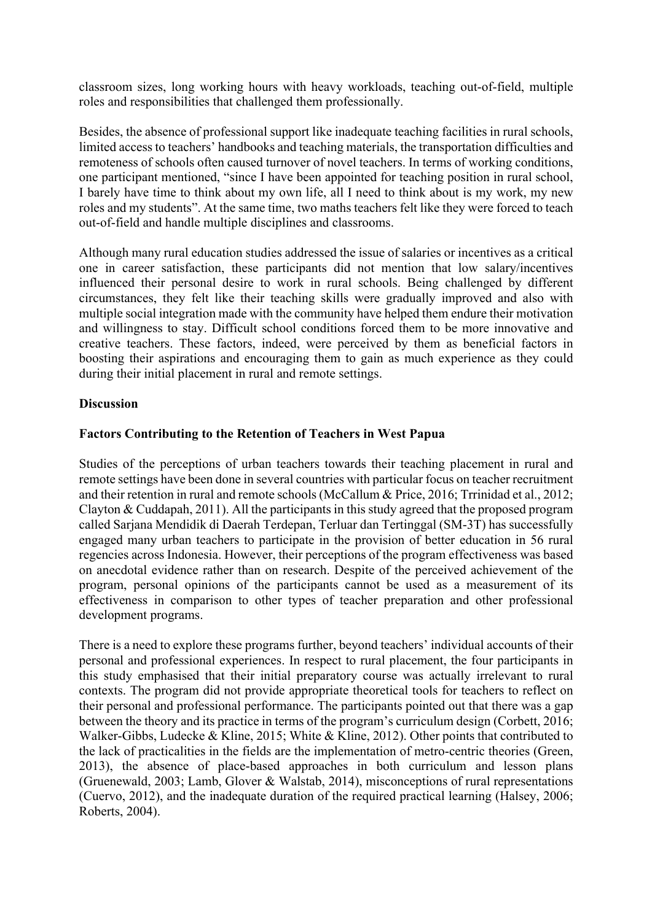classroom sizes, long working hours with heavy workloads, teaching out-of-field, multiple roles and responsibilities that challenged them professionally.

Besides, the absence of professional support like inadequate teaching facilities in rural schools, limited access to teachers' handbooks and teaching materials, the transportation difficulties and remoteness of schools often caused turnover of novel teachers. In terms of working conditions, one participant mentioned, "since I have been appointed for teaching position in rural school, I barely have time to think about my own life, all I need to think about is my work, my new roles and my students". At the same time, two maths teachers felt like they were forced to teach out-of-field and handle multiple disciplines and classrooms.

Although many rural education studies addressed the issue of salaries or incentives as a critical one in career satisfaction, these participants did not mention that low salary/incentives influenced their personal desire to work in rural schools. Being challenged by different circumstances, they felt like their teaching skills were gradually improved and also with multiple social integration made with the community have helped them endure their motivation and willingness to stay. Difficult school conditions forced them to be more innovative and creative teachers. These factors, indeed, were perceived by them as beneficial factors in boosting their aspirations and encouraging them to gain as much experience as they could during their initial placement in rural and remote settings.

## **Discussion**

## **Factors Contributing to the Retention of Teachers in West Papua**

Studies of the perceptions of urban teachers towards their teaching placement in rural and remote settings have been done in several countries with particular focus on teacher recruitment and their retention in rural and remote schools (McCallum & Price, 2016; Trrinidad et al., 2012; Clayton & Cuddapah, 2011). All the participants in this study agreed that the proposed program called Sarjana Mendidik di Daerah Terdepan, Terluar dan Tertinggal (SM-3T) has successfully engaged many urban teachers to participate in the provision of better education in 56 rural regencies across Indonesia. However, their perceptions of the program effectiveness was based on anecdotal evidence rather than on research. Despite of the perceived achievement of the program, personal opinions of the participants cannot be used as a measurement of its effectiveness in comparison to other types of teacher preparation and other professional development programs.

There is a need to explore these programs further, beyond teachers' individual accounts of their personal and professional experiences. In respect to rural placement, the four participants in this study emphasised that their initial preparatory course was actually irrelevant to rural contexts. The program did not provide appropriate theoretical tools for teachers to reflect on their personal and professional performance. The participants pointed out that there was a gap between the theory and its practice in terms of the program's curriculum design (Corbett, 2016; Walker-Gibbs, Ludecke & Kline, 2015; White & Kline, 2012). Other points that contributed to the lack of practicalities in the fields are the implementation of metro-centric theories (Green, 2013), the absence of place-based approaches in both curriculum and lesson plans (Gruenewald, 2003; Lamb, Glover & Walstab, 2014), misconceptions of rural representations (Cuervo, 2012), and the inadequate duration of the required practical learning (Halsey, 2006; Roberts, 2004).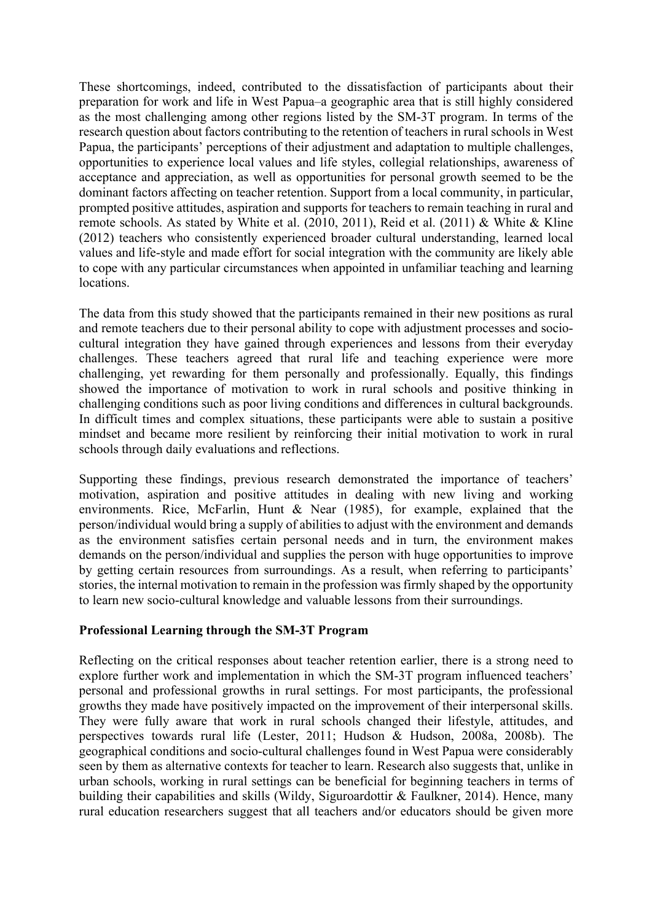These shortcomings, indeed, contributed to the dissatisfaction of participants about their preparation for work and life in West Papua–a geographic area that is still highly considered as the most challenging among other regions listed by the SM-3T program. In terms of the research question about factors contributing to the retention of teachers in rural schools in West Papua, the participants' perceptions of their adjustment and adaptation to multiple challenges, opportunities to experience local values and life styles, collegial relationships, awareness of acceptance and appreciation, as well as opportunities for personal growth seemed to be the dominant factors affecting on teacher retention. Support from a local community, in particular, prompted positive attitudes, aspiration and supports for teachers to remain teaching in rural and remote schools. As stated by White et al. (2010, 2011), Reid et al. (2011) & White & Kline (2012) teachers who consistently experienced broader cultural understanding, learned local values and life-style and made effort for social integration with the community are likely able to cope with any particular circumstances when appointed in unfamiliar teaching and learning locations.

The data from this study showed that the participants remained in their new positions as rural and remote teachers due to their personal ability to cope with adjustment processes and sociocultural integration they have gained through experiences and lessons from their everyday challenges. These teachers agreed that rural life and teaching experience were more challenging, yet rewarding for them personally and professionally. Equally, this findings showed the importance of motivation to work in rural schools and positive thinking in challenging conditions such as poor living conditions and differences in cultural backgrounds. In difficult times and complex situations, these participants were able to sustain a positive mindset and became more resilient by reinforcing their initial motivation to work in rural schools through daily evaluations and reflections.

Supporting these findings, previous research demonstrated the importance of teachers' motivation, aspiration and positive attitudes in dealing with new living and working environments. Rice, McFarlin, Hunt & Near (1985), for example, explained that the person/individual would bring a supply of abilities to adjust with the environment and demands as the environment satisfies certain personal needs and in turn, the environment makes demands on the person/individual and supplies the person with huge opportunities to improve by getting certain resources from surroundings. As a result, when referring to participants' stories, the internal motivation to remain in the profession was firmly shaped by the opportunity to learn new socio-cultural knowledge and valuable lessons from their surroundings.

#### **Professional Learning through the SM-3T Program**

Reflecting on the critical responses about teacher retention earlier, there is a strong need to explore further work and implementation in which the SM-3T program influenced teachers' personal and professional growths in rural settings. For most participants, the professional growths they made have positively impacted on the improvement of their interpersonal skills. They were fully aware that work in rural schools changed their lifestyle, attitudes, and perspectives towards rural life (Lester, 2011; Hudson & Hudson, 2008a, 2008b). The geographical conditions and socio-cultural challenges found in West Papua were considerably seen by them as alternative contexts for teacher to learn. Research also suggests that, unlike in urban schools, working in rural settings can be beneficial for beginning teachers in terms of building their capabilities and skills (Wildy, Siguroardottir & Faulkner, 2014). Hence, many rural education researchers suggest that all teachers and/or educators should be given more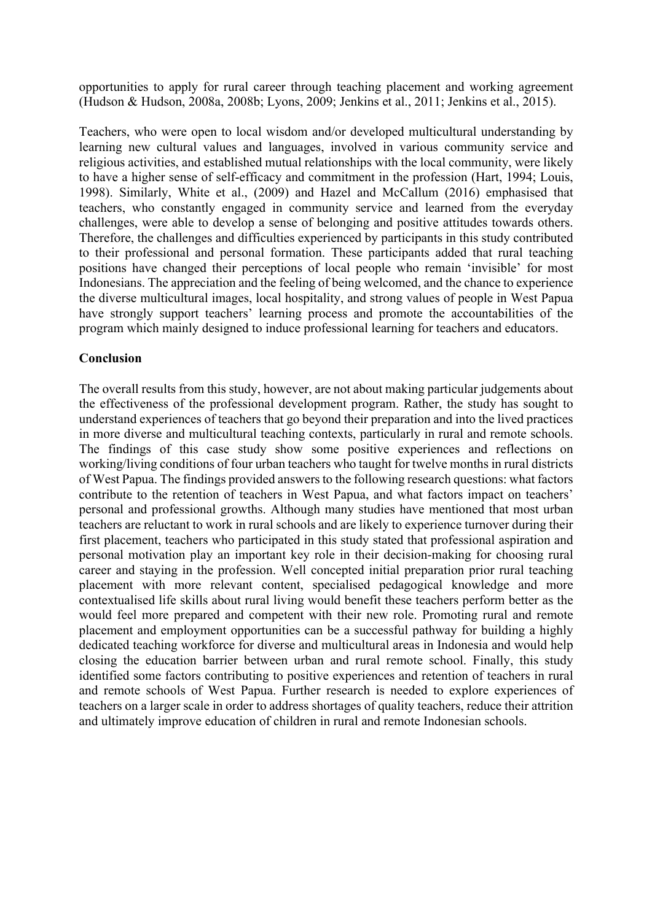opportunities to apply for rural career through teaching placement and working agreement (Hudson & Hudson, 2008a, 2008b; Lyons, 2009; Jenkins et al., 2011; Jenkins et al., 2015).

Teachers, who were open to local wisdom and/or developed multicultural understanding by learning new cultural values and languages, involved in various community service and religious activities, and established mutual relationships with the local community, were likely to have a higher sense of self-efficacy and commitment in the profession (Hart, 1994; Louis, 1998). Similarly, White et al., (2009) and Hazel and McCallum (2016) emphasised that teachers, who constantly engaged in community service and learned from the everyday challenges, were able to develop a sense of belonging and positive attitudes towards others. Therefore, the challenges and difficulties experienced by participants in this study contributed to their professional and personal formation. These participants added that rural teaching positions have changed their perceptions of local people who remain 'invisible' for most Indonesians. The appreciation and the feeling of being welcomed, and the chance to experience the diverse multicultural images, local hospitality, and strong values of people in West Papua have strongly support teachers' learning process and promote the accountabilities of the program which mainly designed to induce professional learning for teachers and educators.

#### **Conclusion**

The overall results from this study, however, are not about making particular judgements about the effectiveness of the professional development program. Rather, the study has sought to understand experiences of teachers that go beyond their preparation and into the lived practices in more diverse and multicultural teaching contexts, particularly in rural and remote schools. The findings of this case study show some positive experiences and reflections on working/living conditions of four urban teachers who taught for twelve months in rural districts of West Papua. The findings provided answers to the following research questions: what factors contribute to the retention of teachers in West Papua, and what factors impact on teachers' personal and professional growths. Although many studies have mentioned that most urban teachers are reluctant to work in rural schools and are likely to experience turnover during their first placement, teachers who participated in this study stated that professional aspiration and personal motivation play an important key role in their decision-making for choosing rural career and staying in the profession. Well concepted initial preparation prior rural teaching placement with more relevant content, specialised pedagogical knowledge and more contextualised life skills about rural living would benefit these teachers perform better as the would feel more prepared and competent with their new role. Promoting rural and remote placement and employment opportunities can be a successful pathway for building a highly dedicated teaching workforce for diverse and multicultural areas in Indonesia and would help closing the education barrier between urban and rural remote school. Finally, this study identified some factors contributing to positive experiences and retention of teachers in rural and remote schools of West Papua. Further research is needed to explore experiences of teachers on a larger scale in order to address shortages of quality teachers, reduce their attrition and ultimately improve education of children in rural and remote Indonesian schools.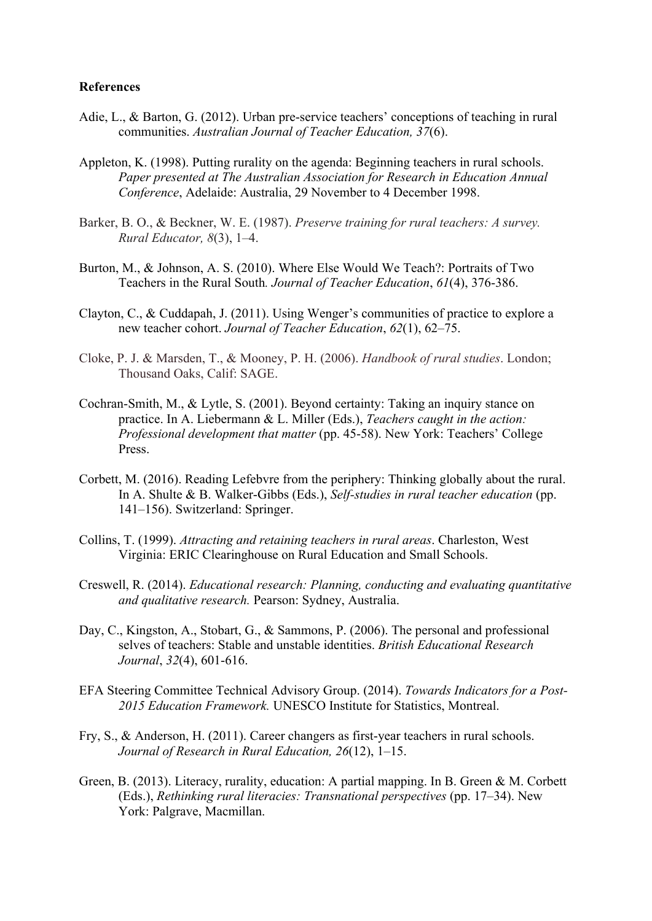#### **References**

- Adie, L., & Barton, G. (2012). Urban pre-service teachers' conceptions of teaching in rural communities. *Australian Journal of Teacher Education, 37*(6).
- Appleton, K. (1998). Putting rurality on the agenda: Beginning teachers in rural schools. *Paper presented at The Australian Association for Research in Education Annual Conference*, Adelaide: Australia, 29 November to 4 December 1998.
- Barker, B. O., & Beckner, W. E. (1987). *Preserve training for rural teachers: A survey. Rural Educator, 8*(3), 1–4.
- Burton, M., & Johnson, A. S. (2010). Where Else Would We Teach?: Portraits of Two Teachers in the Rural South*. Journal of Teacher Education*, *61*(4), 376-386.
- Clayton, C., & Cuddapah, J. (2011). Using Wenger's communities of practice to explore a new teacher cohort. *Journal of Teacher Education*, *62*(1), 62–75.
- Cloke, P. J. & Marsden, T., & Mooney, P. H. (2006). *Handbook of rural studies*. London; Thousand Oaks, Calif: SAGE.
- Cochran-Smith, M., & Lytle, S. (2001). Beyond certainty: Taking an inquiry stance on practice. In A. Liebermann & L. Miller (Eds.), *Teachers caught in the action: Professional development that matter* (pp. 45-58). New York: Teachers' College Press.
- Corbett, M. (2016). Reading Lefebvre from the periphery: Thinking globally about the rural. In A. Shulte & B. Walker-Gibbs (Eds.), *Self-studies in rural teacher education* (pp. 141–156). Switzerland: Springer.
- Collins, T. (1999). *Attracting and retaining teachers in rural areas*. Charleston, West Virginia: ERIC Clearinghouse on Rural Education and Small Schools.
- Creswell, R. (2014). *Educational research: Planning, conducting and evaluating quantitative and qualitative research.* Pearson: Sydney, Australia.
- Day, C., Kingston, A., Stobart, G., & Sammons, P. (2006). The personal and professional selves of teachers: Stable and unstable identities. *British Educational Research Journal*, *32*(4), 601-616.
- EFA Steering Committee Technical Advisory Group. (2014). *Towards Indicators for a Post-2015 Education Framework.* UNESCO Institute for Statistics, Montreal.
- Fry, S., & Anderson, H. (2011). Career changers as first-year teachers in rural schools. *Journal of Research in Rural Education, 26*(12), 1–15.
- Green, B. (2013). Literacy, rurality, education: A partial mapping. In B. Green & M. Corbett (Eds.), *Rethinking rural literacies: Transnational perspectives* (pp. 17–34). New York: Palgrave, Macmillan.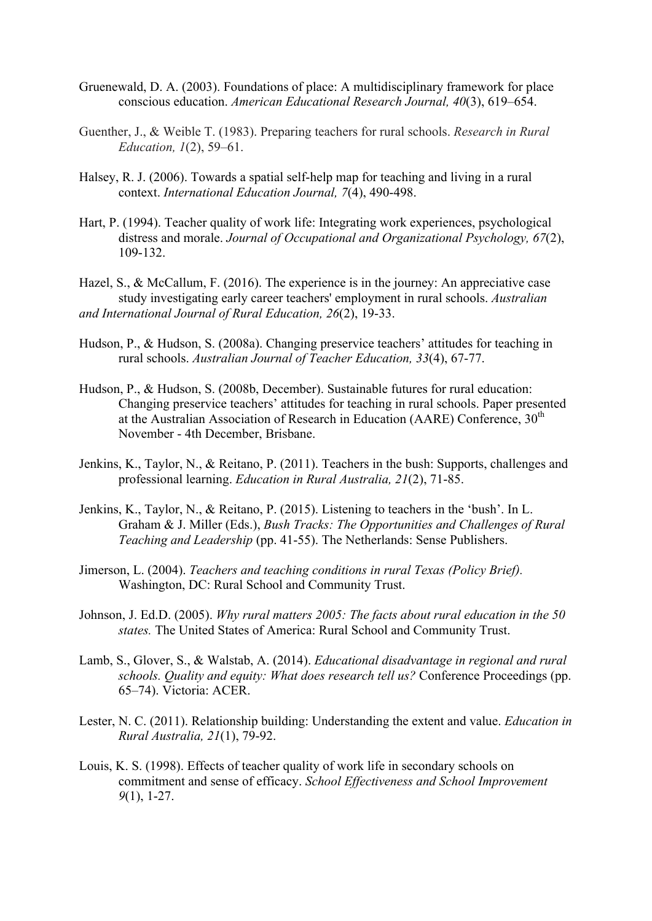- Gruenewald, D. A. (2003). Foundations of place: A multidisciplinary framework for place conscious education. *American Educational Research Journal, 40*(3), 619–654.
- Guenther, J., & Weible T. (1983). Preparing teachers for rural schools. *Research in Rural Education, 1*(2), 59–61.
- Halsey, R. J. (2006). Towards a spatial self-help map for teaching and living in a rural context. *International Education Journal, 7*(4), 490-498.
- Hart, P. (1994). Teacher quality of work life: Integrating work experiences, psychological distress and morale. *Journal of Occupational and Organizational Psychology, 67*(2), 109-132.
- Hazel, S., & McCallum, F. (2016). The experience is in the journey: An appreciative case study investigating early career teachers' employment in rural schools. *Australian and International Journal of Rural Education, 26*(2), 19-33.
- Hudson, P., & Hudson, S. (2008a). Changing preservice teachers' attitudes for teaching in rural schools. *Australian Journal of Teacher Education, 33*(4), 67-77.
- Hudson, P., & Hudson, S. (2008b, December). Sustainable futures for rural education: Changing preservice teachers' attitudes for teaching in rural schools. Paper presented at the Australian Association of Research in Education (AARE) Conference,  $30<sup>th</sup>$ November - 4th December, Brisbane.
- Jenkins, K., Taylor, N., & Reitano, P. (2011). Teachers in the bush: Supports, challenges and professional learning. *Education in Rural Australia, 21*(2), 71-85.
- Jenkins, K., Taylor, N., & Reitano, P. (2015). Listening to teachers in the 'bush'. In L. Graham & J. Miller (Eds.), *Bush Tracks: The Opportunities and Challenges of Rural Teaching and Leadership* (pp. 41-55). The Netherlands: Sense Publishers.
- Jimerson, L. (2004). *Teachers and teaching conditions in rural Texas (Policy Brief).* Washington, DC: Rural School and Community Trust.
- Johnson, J. Ed.D. (2005). *Why rural matters 2005: The facts about rural education in the 50 states.* The United States of America: Rural School and Community Trust.
- Lamb, S., Glover, S., & Walstab, A. (2014). *Educational disadvantage in regional and rural schools. Quality and equity: What does research tell us?* Conference Proceedings (pp. 65–74). Victoria: ACER.
- Lester, N. C. (2011). Relationship building: Understanding the extent and value. *Education in Rural Australia, 21*(1), 79-92.
- Louis, K. S. (1998). Effects of teacher quality of work life in secondary schools on commitment and sense of efficacy. *School Effectiveness and School Improvement 9*(1), 1-27.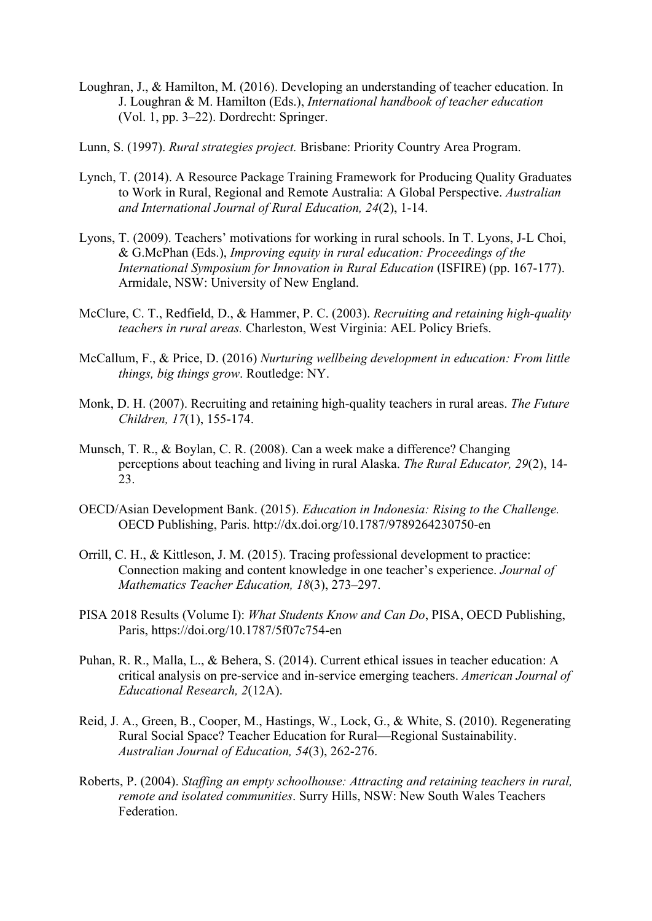- Loughran, J., & Hamilton, M. (2016). Developing an understanding of teacher education. In J. Loughran & M. Hamilton (Eds.), *International handbook of teacher education* (Vol. 1, pp. 3–22). Dordrecht: Springer.
- Lunn, S. (1997). *Rural strategies project.* Brisbane: Priority Country Area Program.
- Lynch, T. (2014). A Resource Package Training Framework for Producing Quality Graduates to Work in Rural, Regional and Remote Australia: A Global Perspective. *Australian and International Journal of Rural Education, 24*(2), 1-14.
- Lyons, T. (2009). Teachers' motivations for working in rural schools. In T. Lyons, J-L Choi, & G.McPhan (Eds.), *Improving equity in rural education: Proceedings of the International Symposium for Innovation in Rural Education* (ISFIRE) (pp. 167-177). Armidale, NSW: University of New England.
- McClure, C. T., Redfield, D., & Hammer, P. C. (2003). *Recruiting and retaining high-quality teachers in rural areas.* Charleston, West Virginia: AEL Policy Briefs.
- McCallum, F., & Price, D. (2016) *Nurturing wellbeing development in education: From little things, big things grow*. Routledge: NY.
- Monk, D. H. (2007). Recruiting and retaining high-quality teachers in rural areas. *The Future Children, 17*(1), 155-174.
- Munsch, T. R., & Boylan, C. R. (2008). Can a week make a difference? Changing perceptions about teaching and living in rural Alaska. *The Rural Educator, 29*(2), 14- 23.
- OECD/Asian Development Bank. (2015). *Education in Indonesia: Rising to the Challenge.* OECD Publishing, Paris. http://dx.doi.org/10.1787/9789264230750-en
- Orrill, C. H., & Kittleson, J. M. (2015). Tracing professional development to practice: Connection making and content knowledge in one teacher's experience. *Journal of Mathematics Teacher Education, 18*(3), 273–297.
- PISA 2018 Results (Volume I): *What Students Know and Can Do*, PISA, OECD Publishing, Paris, https://doi.org/10.1787/5f07c754-en
- Puhan, R. R., Malla, L., & Behera, S. (2014). Current ethical issues in teacher education: A critical analysis on pre-service and in-service emerging teachers. *American Journal of Educational Research, 2*(12A).
- Reid, J. A., Green, B., Cooper, M., Hastings, W., Lock, G., & White, S. (2010). Regenerating Rural Social Space? Teacher Education for Rural—Regional Sustainability. *Australian Journal of Education, 54*(3), 262-276.
- Roberts, P. (2004). *Staffing an empty schoolhouse: Attracting and retaining teachers in rural, remote and isolated communities*. Surry Hills, NSW: New South Wales Teachers Federation.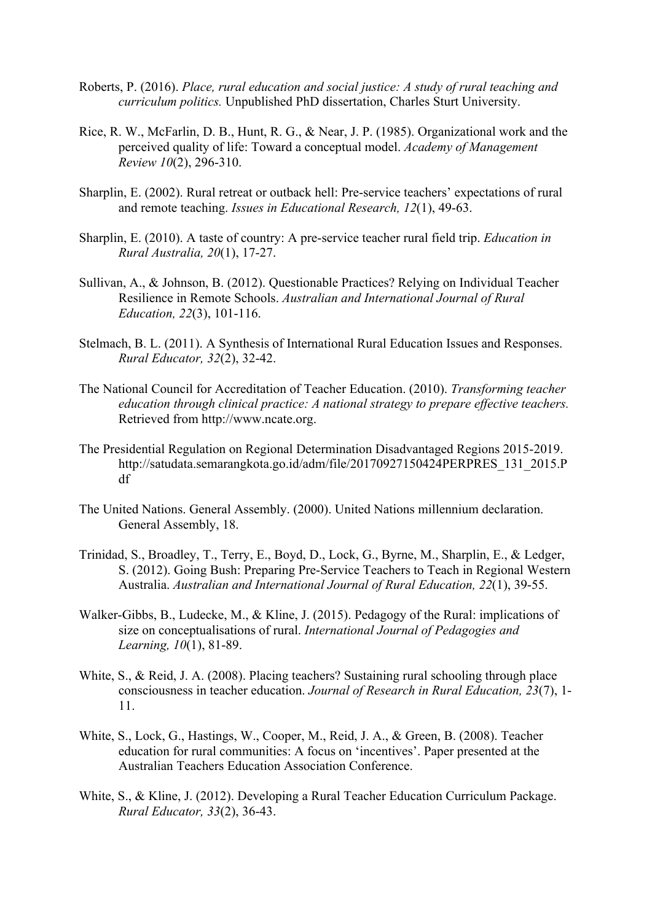- Roberts, P. (2016). *Place, rural education and social justice: A study of rural teaching and curriculum politics.* Unpublished PhD dissertation, Charles Sturt University.
- Rice, R. W., McFarlin, D. B., Hunt, R. G., & Near, J. P. (1985). Organizational work and the perceived quality of life: Toward a conceptual model. *Academy of Management Review 10*(2), 296-310.
- Sharplin, E. (2002). Rural retreat or outback hell: Pre-service teachers' expectations of rural and remote teaching. *Issues in Educational Research, 12*(1), 49-63.
- Sharplin, E. (2010). A taste of country: A pre-service teacher rural field trip. *Education in Rural Australia, 20*(1), 17-27.
- Sullivan, A., & Johnson, B. (2012). Questionable Practices? Relying on Individual Teacher Resilience in Remote Schools. *Australian and International Journal of Rural Education, 22*(3), 101-116.
- Stelmach, B. L. (2011). A Synthesis of International Rural Education Issues and Responses. *Rural Educator, 32*(2), 32-42.
- The National Council for Accreditation of Teacher Education. (2010). *Transforming teacher education through clinical practice: A national strategy to prepare effective teachers.*  Retrieved from http://www.ncate.org.
- The Presidential Regulation on Regional Determination Disadvantaged Regions 2015-2019. http://satudata.semarangkota.go.id/adm/file/20170927150424PERPRES\_131\_2015.P df
- The United Nations. General Assembly. (2000). United Nations millennium declaration. General Assembly, 18.
- Trinidad, S., Broadley, T., Terry, E., Boyd, D., Lock, G., Byrne, M., Sharplin, E., & Ledger, S. (2012). Going Bush: Preparing Pre-Service Teachers to Teach in Regional Western Australia. *Australian and International Journal of Rural Education, 22*(1), 39-55.
- Walker-Gibbs, B., Ludecke, M., & Kline, J. (2015). Pedagogy of the Rural: implications of size on conceptualisations of rural. *International Journal of Pedagogies and Learning, 10*(1), 81-89.
- White, S., & Reid, J. A. (2008). Placing teachers? Sustaining rural schooling through place consciousness in teacher education. *Journal of Research in Rural Education, 23*(7), 1- 11.
- White, S., Lock, G., Hastings, W., Cooper, M., Reid, J. A., & Green, B. (2008). Teacher education for rural communities: A focus on 'incentives'. Paper presented at the Australian Teachers Education Association Conference.
- White, S., & Kline, J. (2012). Developing a Rural Teacher Education Curriculum Package. *Rural Educator, 33*(2), 36-43.